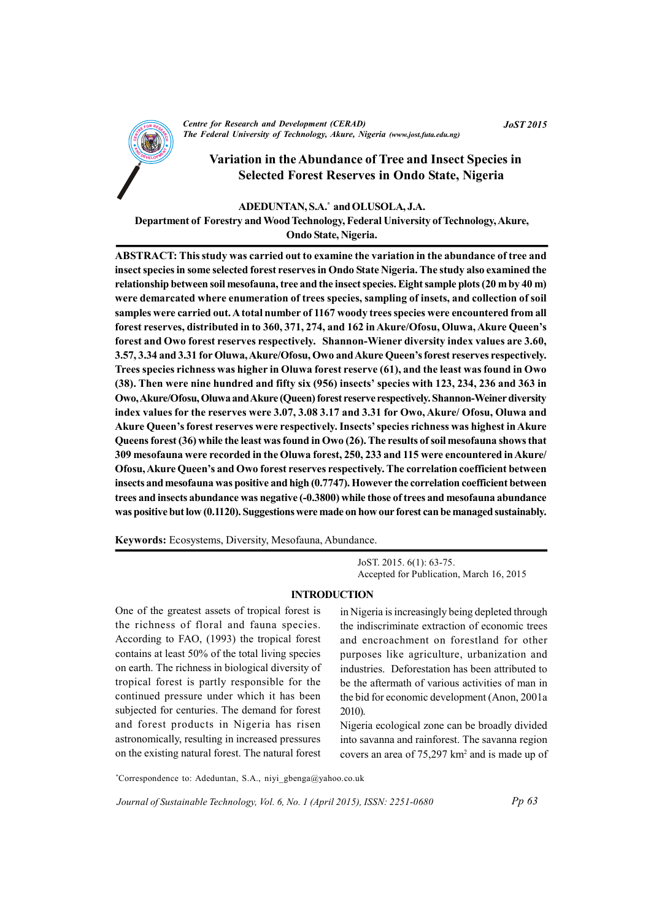

**Centre for Research and Development (CERAD)** The Federal University of Technology, Akure, Nigeria (www.jost.futa.edu.ng)

# Variation in the Abundance of Tree and Insect Species in **Selected Forest Reserves in Ondo State, Nigeria**

#### ADEDUNTAN, S.A.\* and OLUSOLA, J.A.

Department of Forestry and Wood Technology, Federal University of Technology, Akure, Ondo State, Nigeria.

ABSTRACT: This study was carried out to examine the variation in the abundance of tree and insect species in some selected forest reserves in Ondo State Nigeria. The study also examined the relationship between soil mesofauna, tree and the insect species. Eight sample plots (20 m by 40 m) were demarcated where enumeration of trees species, sampling of insets, and collection of soil samples were carried out. A total number of 1167 woody trees species were encountered from all forest reserves, distributed in to 360, 371, 274, and 162 in Akure/Ofosu, Oluwa, Akure Queen's forest and Owo forest reserves respectively. Shannon-Wiener diversity index values are 3.60, 3.57, 3.34 and 3.31 for Oluwa, Akure/Ofosu, Owo and Akure Queen's forest reserves respectively. Trees species richness was higher in Oluwa forest reserve (61), and the least was found in Owo (38). Then were nine hundred and fifty six (956) insects' species with 123, 234, 236 and 363 in Owo, Akure/Ofosu, Oluwa and Akure (Queen) forest reserve respectively. Shannon-Weiner diversity index values for the reserves were 3.07, 3.08 3.17 and 3.31 for Owo, Akure/ Ofosu, Oluwa and Akure Oueen's forest reserves were respectively. Insects' species richness was highest in Akure Queens forest (36) while the least was found in Owo (26). The results of soil mesofauna shows that 309 mesofauna were recorded in the Oluwa forest, 250, 233 and 115 were encountered in Akure/ Ofosu, Akure Queen's and Owo forest reserves respectively. The correlation coefficient between insects and mesofauna was positive and high (0.7747). However the correlation coefficient between trees and insects abundance was negative (-0.3800) while those of trees and mesofauna abundance was positive but low (0.1120). Suggestions were made on how our forest can be managed sustainably.

Keywords: Ecosystems, Diversity, Mesofauna, Abundance.

JoST. 2015. 6(1): 63-75. Accepted for Publication, March 16, 2015

#### **INTRODUCTION**

One of the greatest assets of tropical forest is the richness of floral and fauna species. According to FAO, (1993) the tropical forest contains at least 50% of the total living species on earth. The richness in biological diversity of tropical forest is partly responsible for the continued pressure under which it has been subjected for centuries. The demand for forest and forest products in Nigeria has risen astronomically, resulting in increased pressures on the existing natural forest. The natural forest

in Nigeria is increasingly being depleted through the indiscriminate extraction of economic trees and encroachment on forestland for other purposes like agriculture, urbanization and industries. Deforestation has been attributed to be the aftermath of various activities of man in the bid for economic development (Anon, 2001a  $2010$ ).

Nigeria ecological zone can be broadly divided into savanna and rainforest. The savanna region covers an area of 75,297 km<sup>2</sup> and is made up of

\*Correspondence to: Adeduntan, S.A., niyi\_gbenga@yahoo.co.uk

Journal of Sustainable Technology, Vol. 6, No. 1 (April 2015), ISSN: 2251-0680

**JoST 2015**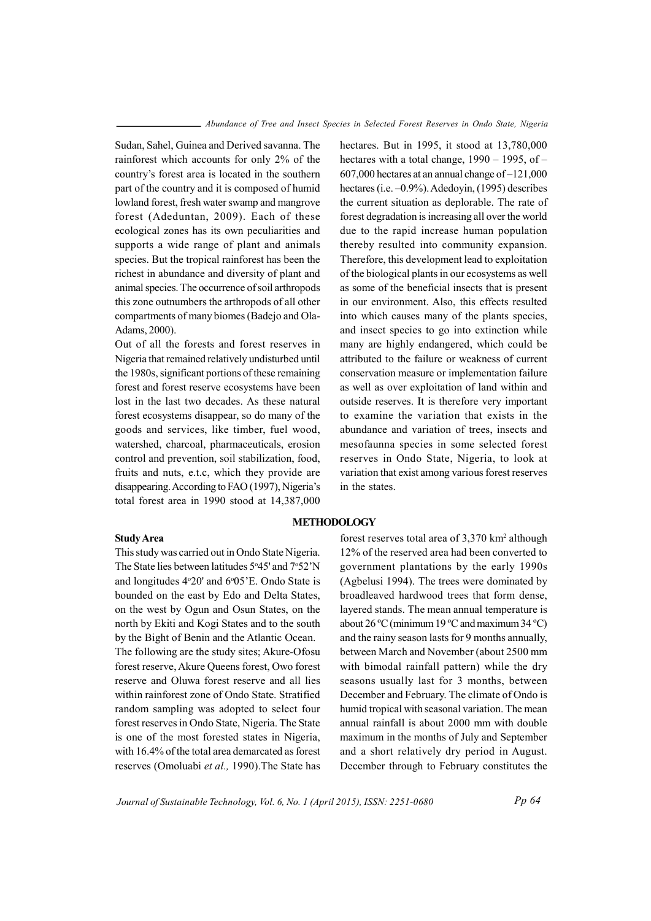Sudan, Sahel, Guinea and Derived savanna. The rainforest which accounts for only 2% of the country's forest area is located in the southern part of the country and it is composed of humid lowland forest, fresh water swamp and mangrove forest (Adeduntan, 2009). Each of these ecological zones has its own peculiarities and supports a wide range of plant and animals species. But the tropical rainforest has been the richest in abundance and diversity of plant and animal species. The occurrence of soil arthropods this zone outnumbers the arthropods of all other compartments of many biomes (Badejo and Ola-Adams, 2000).

Out of all the forests and forest reserves in Nigeria that remained relatively undisturbed until the 1980s, significant portions of these remaining forest and forest reserve ecosystems have been lost in the last two decades. As these natural forest ecosystems disappear, so do many of the goods and services, like timber, fuel wood, watershed, charcoal, pharmaceuticals, erosion control and prevention, soil stabilization, food, fruits and nuts, e.t.c, which they provide are disappearing. According to FAO (1997), Nigeria's total forest area in 1990 stood at 14.387,000

### **Study Area**

This study was carried out in Ondo State Nigeria. The State lies between latitudes 5°45' and 7°52'N and longitudes 4°20' and 6°05'E. Ondo State is bounded on the east by Edo and Delta States, on the west by Ogun and Osun States, on the north by Ekiti and Kogi States and to the south by the Bight of Benin and the Atlantic Ocean. The following are the study sites; Akure-Ofosu forest reserve. Akure Queens forest. Owo forest reserve and Oluwa forest reserve and all lies within rainforest zone of Ondo State, Stratified random sampling was adopted to select four forest reserves in Ondo State, Nigeria. The State is one of the most forested states in Nigeria. with 16.4% of the total area demarcated as forest reserves (Omoluabi et al., 1990). The State has hectares. But in 1995, it stood at  $13,780,000$ hectares with a total change,  $1990 - 1995$ , of -607,000 hectares at an annual change of -121,000 hectares (i.e.  $-0.9\%$ ). Adedoyin, (1995) describes the current situation as deplorable. The rate of forest degradation is increasing all over the world due to the rapid increase human population thereby resulted into community expansion. Therefore, this development lead to exploitation of the biological plants in our ecosystems as well as some of the beneficial insects that is present in our environment. Also, this effects resulted into which causes many of the plants species, and insect species to go into extinction while many are highly endangered, which could be attributed to the failure or weakness of current conservation measure or implementation failure as well as over exploitation of land within and outside reserves. It is therefore very important to examine the variation that exists in the abundance and variation of trees, insects and mesofaunna species in some selected forest reserves in Ondo State, Nigeria, to look at variation that exist among various forest reserves in the states.

# **METHODOLOGY**

forest reserves total area of 3,370 km<sup>2</sup> although 12% of the reserved area had been converted to government plantations by the early 1990s (Agbelusi 1994). The trees were dominated by broadleaved hardwood trees that form dense, layered stands. The mean annual temperature is about  $26^{\circ}$ C (minimum 19 °C and maximum 34 °C) and the rainy season lasts for 9 months annually, between March and November (about 2500 mm with bimodal rainfall pattern) while the dry seasons usually last for 3 months, between December and February. The climate of Ondo is humid tropical with seasonal variation. The mean annual rainfall is about 2000 mm with double maximum in the months of July and September and a short relatively dry period in August. December through to February constitutes the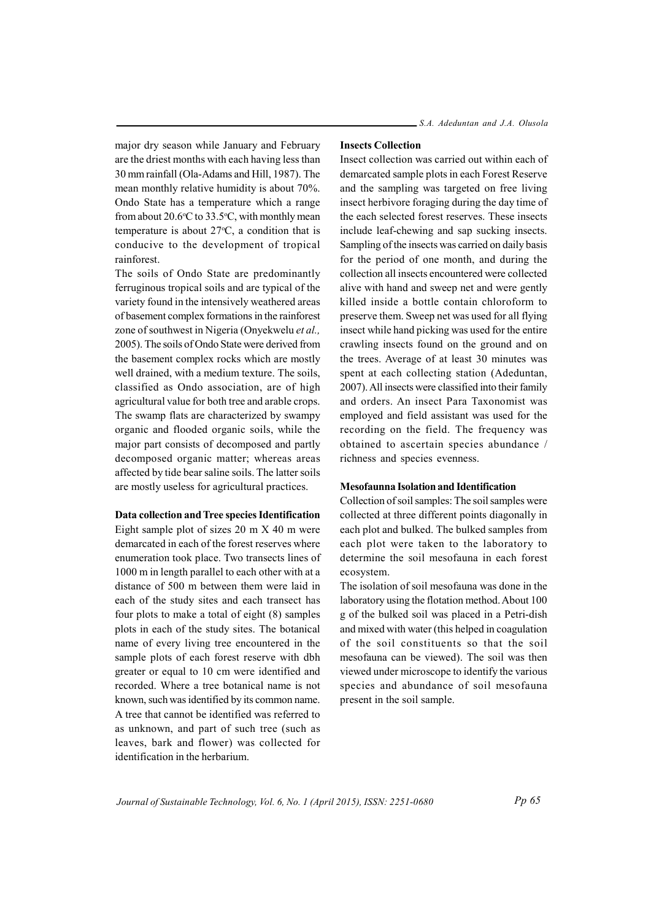major dry season while January and February are the driest months with each having less than 30 mm rainfall (Ola-Adams and Hill, 1987). The mean monthly relative humidity is about 70%. Ondo State has a temperature which a range from about 20.6 $\degree$ C to 33.5 $\degree$ C, with monthly mean temperature is about  $27^{\circ}$ C, a condition that is conducive to the development of tropical rainforest

The soils of Ondo State are predominantly ferruginous tropical soils and are typical of the variety found in the intensively weathered areas of basement complex formations in the rainforest zone of southwest in Nigeria (Onyekwelu et al., 2005). The soils of Ondo State were derived from the basement complex rocks which are mostly well drained, with a medium texture. The soils, classified as Ondo association, are of high agricultural value for both tree and arable crops. The swamp flats are characterized by swampy organic and flooded organic soils, while the major part consists of decomposed and partly decomposed organic matter; whereas areas affected by tide bear saline soils. The latter soils are mostly useless for agricultural practices.

#### **Data collection and Tree species Identification**

Eight sample plot of sizes  $20 \text{ m} X 40 \text{ m}$  were demarcated in each of the forest reserves where enumeration took place. Two transects lines of 1000 m in length parallel to each other with at a distance of 500 m between them were laid in each of the study sites and each transect has four plots to make a total of eight  $(8)$  samples plots in each of the study sites. The botanical name of every living tree encountered in the sample plots of each forest reserve with dbh greater or equal to 10 cm were identified and recorded. Where a tree botanical name is not known, such was identified by its common name. A tree that cannot be identified was referred to as unknown, and part of such tree (such as leaves, bark and flower) was collected for identification in the herbarium

#### **Insects Collection**

Insect collection was carried out within each of demarcated sample plots in each Forest Reserve and the sampling was targeted on free living insect herbivore foraging during the day time of the each selected forest reserves. These insects include leaf-chewing and sap sucking insects. Sampling of the insects was carried on daily basis for the period of one month, and during the collection all insects encountered were collected alive with hand and sweep net and were gently killed inside a bottle contain chloroform to preserve them. Sweep net was used for all flying in sect while hand picking was used for the entire crawling insects found on the ground and on the trees. Average of at least 30 minutes was spent at each collecting station (Adeduntan, 2007). All insects were classified into their family and orders. An insect Para Taxonomist was employed and field assistant was used for the recording on the field. The frequency was obtained to ascertain species abundance / richness and species evenness.

#### **Mesofaunna Isolation and Identification**

Collection of soil samples: The soil samples were collected at three different points diagonally in each plot and bulked. The bulked samples from each plot were taken to the laboratory to determine the soil mesofauna in each forest ecosystem.

The isolation of soil mesofauna was done in the laboratory using the flotation method. About 100 g of the bulked soil was placed in a Petri-dish and mixed with water (this helped in coagulation of the soil constituents so that the soil mesofauna can be viewed). The soil was then viewed under microscope to identify the various species and abundance of soil mesofauna present in the soil sample.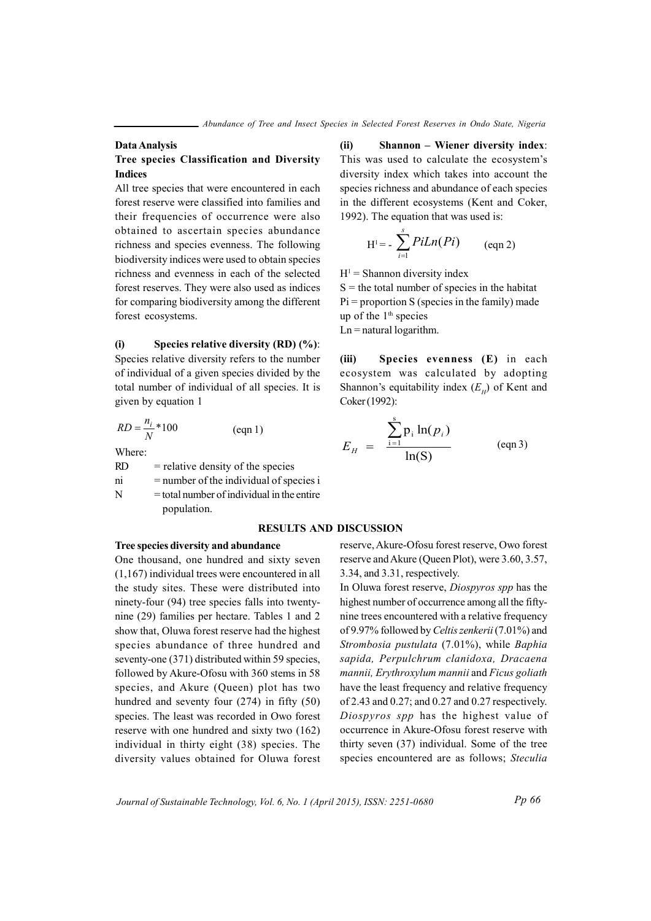#### Data Analysis

### Tree species Classification and Diversity **Indices**

All tree species that were encountered in each forest reserve were classified into families and their frequencies of occurrence were also obtained to ascertain species abundance richness and species evenness. The following biodiversity indices were used to obtain species richness and evenness in each of the selected forest reserves. They were also used as indices for comparing biodiversity among the different forest ecosystems.

 $(i)$ Species relative diversity (RD)  $(\%)$ : Species relative diversity refers to the number of individual of a given species divided by the total number of individual of all species. It is given by equation 1

$$
RD = \frac{n_i}{N} * 100
$$
 (eqn 1)

Where:

 $RD$  $=$  relative density of the species

 $=$  number of the individual of species i ni

N  $=$  total number of individual in the entire population.

#### **RESULTS AND DISCUSSION**

### Tree species diversity and abundance

One thousand, one hundred and sixty seven  $(1,167)$  individual trees were encountered in all the study sites. These were distributed into ninety-four (94) tree species falls into twentynine (29) families per hectare. Tables 1 and 2 show that, Oluwa forest reserve had the highest species abundance of three hundred and seventy-one (371) distributed within 59 species, followed by Akure-Ofosu with 360 stems in 58 species, and Akure (Queen) plot has two hundred and seventy four  $(274)$  in fifty  $(50)$ species. The least was recorded in Owo forest reserve with one hundred and sixty two (162) individual in thirty eight (38) species. The diversity values obtained for Oluwa forest  $(ii)$ Shannon – Wiener diversity index: This was used to calculate the ecosystem's diversity index which takes into account the species richness and abundance of each species in the different ecosystems (Kent and Coker, 1992). The equation that was used is:

$$
H^{1} = -\sum_{i=1}^{s} P i L n (Pi) \qquad (eqn 2)
$$

 $H<sup>1</sup>$  = Shannon diversity index

 $S =$  the total number of species in the habitat  $Pi =$  proportion S (species in the family) made up of the  $1<sup>th</sup>$  species

 $Ln = natural logarithm$ .

 $(iii)$ Species evenness (E) in each ecosystem was calculated by adopting Shannon's equitability index  $(E_n)$  of Kent and Coker (1992):

$$
E_H = \frac{\sum_{i=1}^{s} p_i \ln(p_i)}{\ln(S)} \qquad \text{(eqn 3)}
$$

reserve, Akure-Ofosu forest reserve, Owo forest reserve and Akure (Queen Plot), were 3.60, 3.57, 3.34, and 3.31, respectively.

In Oluwa forest reserve, *Diospyros spp* has the highest number of occurrence among all the fiftynine trees encountered with a relative frequency of 9.97% followed by Celtis zenkerii (7.01%) and Strombosia pustulata (7.01%), while Baphia sapida, Perpulchrum clanidoxa, Dracaena mannii, Erythroxylum mannii and Ficus goliath have the least frequency and relative frequency of 2.43 and  $0.27$ ; and  $0.27$  and  $0.27$  respectively. Diospyros spp has the highest value of occurrence in Akure-Ofosu forest reserve with thirty seven (37) individual. Some of the tree species encountered are as follows; Steculia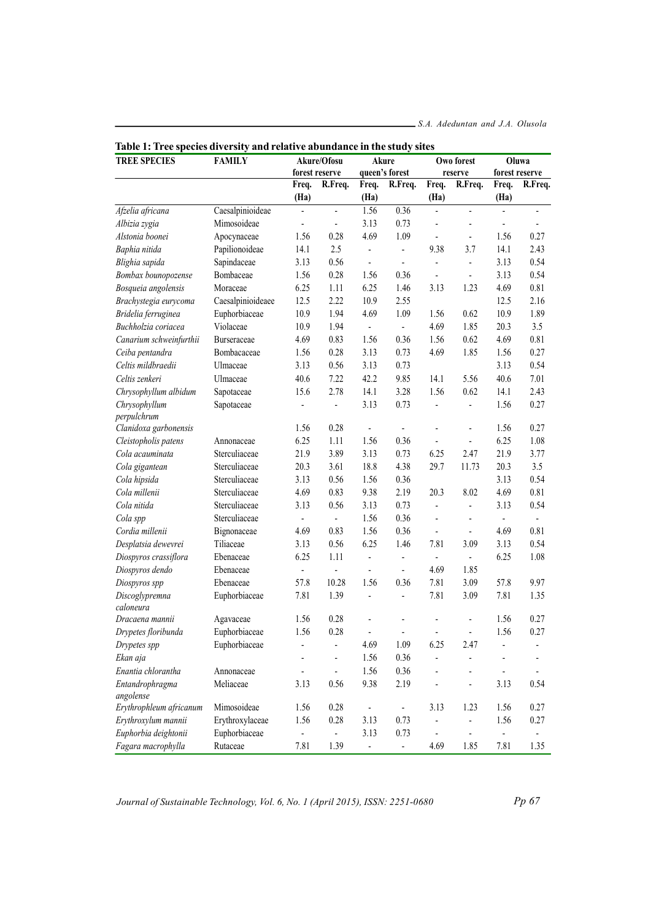| radie 1. 11 éé species urversity and relative adundance in the study<br><b>TREE SPECIES</b> | <b>FAMILY</b>     | Akure/Ofosu    |                          | Akure                    |                          | <b>DILCO</b>             | Owo forest                   | Oluwa                    |                |
|---------------------------------------------------------------------------------------------|-------------------|----------------|--------------------------|--------------------------|--------------------------|--------------------------|------------------------------|--------------------------|----------------|
|                                                                                             |                   |                | forest reserve           |                          | queen's forest           |                          | reserve                      | forest reserve           |                |
|                                                                                             |                   | Freq.          | R.Freq.                  | Freq.                    | R.Freq.                  | Freq.                    | R.Freq.                      | Freq.                    | R.Freq.        |
|                                                                                             |                   | (Ha)           |                          | (Ha)                     |                          | (Ha)                     |                              | (Ha)                     |                |
| Afzelia africana                                                                            | Caesalpinioideae  | $\overline{a}$ | $\overline{a}$           | 1.56                     | 0.36                     | $\blacksquare$           | $\blacksquare$               | $\frac{1}{2}$            | ٠              |
| Albizia zygia                                                                               | Mimosoideae       | $\overline{a}$ | $\overline{\phantom{a}}$ | 3.13                     | 0.73                     | $\blacksquare$           | $\overline{\phantom{a}}$     | $\frac{1}{2}$            |                |
| Alstonia boonei                                                                             | Apocynaceae       | 1.56           | 0.28                     | 4.69                     | 1.09                     | $\overline{\phantom{a}}$ | $\overline{\phantom{a}}$     | 1.56                     | 0.27           |
| Baphia nitida                                                                               | Papilionoideae    | 14.1           | 2.5                      | ÷,                       | $\blacksquare$           | 9.38                     | 3.7                          | 14.1                     | 2.43           |
| Blighia sapida                                                                              | Sapindaceae       | 3.13           | 0.56                     | ÷,                       | $\blacksquare$           | ÷,                       | $\blacksquare$               | 3.13                     | 0.54           |
| Bombax bounopozense                                                                         | Bombaceae         | 1.56           | 0.28                     | 1.56                     | 0.36                     | ä,                       | $\blacksquare$               | 3.13                     | 0.54           |
| Bosqueia angolensis                                                                         | Moraceae          | 6.25           | 1.11                     | 6.25                     | 1.46                     | 3.13                     | 1.23                         | 4.69                     | 0.81           |
| Brachystegia eurycoma                                                                       | Caesalpinioideaee | 12.5           | 2.22                     | 10.9                     | 2.55                     |                          |                              | 12.5                     | 2.16           |
| Bridelia ferruginea                                                                         | Euphorbiaceae     | 10.9           | 1.94                     | 4.69                     | 1.09                     | 1.56                     | 0.62                         | 10.9                     | 1.89           |
| Buchholzia coriacea                                                                         | Violaceae         | 10.9           | 1.94                     | ÷,                       | $\mathbb{Z}^+$           | 4.69                     | 1.85                         | 20.3                     | 3.5            |
| Canarium schweinfurthii                                                                     | Burseraceae       | 4.69           | 0.83                     | 1.56                     | 0.36                     | 1.56                     | 0.62                         | 4.69                     | 0.81           |
| Ceiba pentandra                                                                             | Bombacaceae       | 1.56           | 0.28                     | 3.13                     | 0.73                     | 4.69                     | 1.85                         | 1.56                     | 0.27           |
| Celtis mildbraedii                                                                          | Ulmaceae          | 3.13           | 0.56                     | 3.13                     | 0.73                     |                          |                              | 3.13                     | 0.54           |
| Celtis zenkeri                                                                              | Ulmaceae          | 40.6           | 7.22                     | 42.2                     | 9.85                     | 14.1                     | 5.56                         | 40.6                     | 7.01           |
| Chrysophyllum albidum                                                                       | Sapotaceae        | 15.6           | 2.78                     | 14.1                     | 3.28                     | 1.56                     | 0.62                         | 14.1                     | 2.43           |
| Chrysophyllum                                                                               | Sapotaceae        |                | $\overline{a}$           | 3.13                     | 0.73                     | $\overline{a}$           | $\blacksquare$               | 1.56                     | 0.27           |
| perpulchrum                                                                                 |                   |                |                          |                          |                          |                          |                              |                          |                |
| Clanidoxa garbonensis                                                                       |                   | 1.56           | 0.28                     | ÷                        | $\overline{\phantom{a}}$ | ÷                        | $\blacksquare$               | 1.56                     | 0.27           |
| Cleistopholis patens                                                                        | Annonaceae        | 6.25           | 1.11                     | 1.56                     | 0.36                     | $\overline{\phantom{a}}$ | $\blacksquare$               | 6.25                     | 1.08           |
| Cola acauminata                                                                             | Sterculiaceae     | 21.9           | 3.89                     | 3.13                     | 0.73                     | 6.25                     | 2.47                         | 21.9                     | 3.77           |
| Cola gigantean                                                                              | Sterculiaceae     | 20.3           | 3.61                     | 18.8                     | 4.38                     | 29.7                     | 11.73                        | 20.3                     | 3.5            |
| Cola hipsida                                                                                | Sterculiaceae     | 3.13           | 0.56                     | 1.56                     | 0.36                     |                          |                              | 3.13                     | 0.54           |
| Cola millenii                                                                               | Sterculiaceae     | 4.69           | 0.83                     | 9.38                     | 2.19                     | 20.3                     | 8.02                         | 4.69                     | 0.81           |
| Cola nitida                                                                                 | Sterculiaceae     | 3.13           | 0.56                     | 3.13                     | 0.73                     | ÷,                       | $\blacksquare$               | 3.13                     | 0.54           |
| Cola spp                                                                                    | Sterculiaceae     | ÷              | L,                       | 1.56                     | 0.36                     | $\blacksquare$           | $\blacksquare$               | $\overline{\phantom{a}}$ | $\blacksquare$ |
| Cordia millenii                                                                             | Bignonaceae       | 4.69           | 0.83                     | 1.56                     | 0.36                     | $\blacksquare$           | $\blacksquare$               | 4.69                     | 0.81           |
| Desplatsia dewevrei                                                                         | Tiliaceae         | 3.13           | 0.56                     | 6.25                     | 1.46                     | 7.81                     | 3.09                         | 3.13                     | 0.54           |
| Diospyros crassiflora                                                                       | Ebenaceae         | 6.25           | 1.11                     | ÷,                       | $\blacksquare$           | $\blacksquare$           | $\blacksquare$               | 6.25                     | 1.08           |
| Diospyros dendo                                                                             | Ebenaceae         |                | Ĭ.                       | $\overline{\phantom{a}}$ | $\overline{\phantom{a}}$ | 4.69                     | 1.85                         |                          |                |
| Diospyros spp                                                                               | Ebenaceae         | 57.8           | 10.28                    | 1.56                     | 0.36                     | 7.81                     | 3.09                         | 57.8                     | 9.97           |
| Discoglypremna                                                                              | Euphorbiaceae     | 7.81           | 1.39                     | Ĭ.                       | ÷,                       | 7.81                     | 3.09                         | 7.81                     | 1.35           |
| caloneura                                                                                   |                   |                |                          |                          |                          |                          |                              |                          |                |
| Dracaena mannii                                                                             | Agavaceae         | 1.56           | 0.28                     |                          |                          |                          |                              | 1.56                     | 0.27           |
| Drypetes floribunda                                                                         | Euphorbiaceae     | 1.56           | 0.28                     | ÷,                       | ä,                       | ä,                       | $\overline{\phantom{a}}$     | 1.56                     | 0.27           |
| Drypetes spp                                                                                | Euphorbiaceae     |                | -                        | 4.69                     | 1.09                     | 6.25                     | 2.47                         |                          | -              |
| Ekan aja                                                                                    |                   |                |                          | 1.56                     | 0.36                     | -                        | $\qquad \qquad \blacksquare$ |                          |                |
| Enantia chlorantha                                                                          | Annonaceae        |                | $\overline{\phantom{a}}$ | 1.56                     | 0.36                     | -                        | $\overline{\phantom{a}}$     | $\overline{\phantom{a}}$ |                |
| Entandrophragma<br>angolense                                                                | Meliaceae         | 3.13           | 0.56                     | 9.38                     | 2.19                     | ٠                        | $\overline{\phantom{a}}$     | 3.13                     | 0.54           |
| Erythrophleum africanum                                                                     | Mimosoideae       | 1.56           | 0.28                     | ÷                        | $\overline{\phantom{a}}$ | 3.13                     | 1.23                         | 1.56                     | 0.27           |
| Erythroxylum mannii                                                                         | Erythroxylaceae   | 1.56           | 0.28                     | 3.13                     | 0.73                     | $\blacksquare$           | $\overline{\phantom{a}}$     | 1.56                     | 0.27           |
| Euphorbia deightonii                                                                        | Euphorbiaceae     | -              | ÷                        | 3.13                     | 0.73                     | $\overline{\phantom{a}}$ | $\overline{\phantom{a}}$     | $\overline{\phantom{a}}$ | -              |
| Fagara macrophylla                                                                          | Rutaceae          | 7.81           | 1.39                     | ÷                        | $\blacksquare$           | 4.69                     | 1.85                         | 7.81                     | 1.35           |

| Table 1: Tree species diversity and relative abundance in the study sites |  |
|---------------------------------------------------------------------------|--|
|---------------------------------------------------------------------------|--|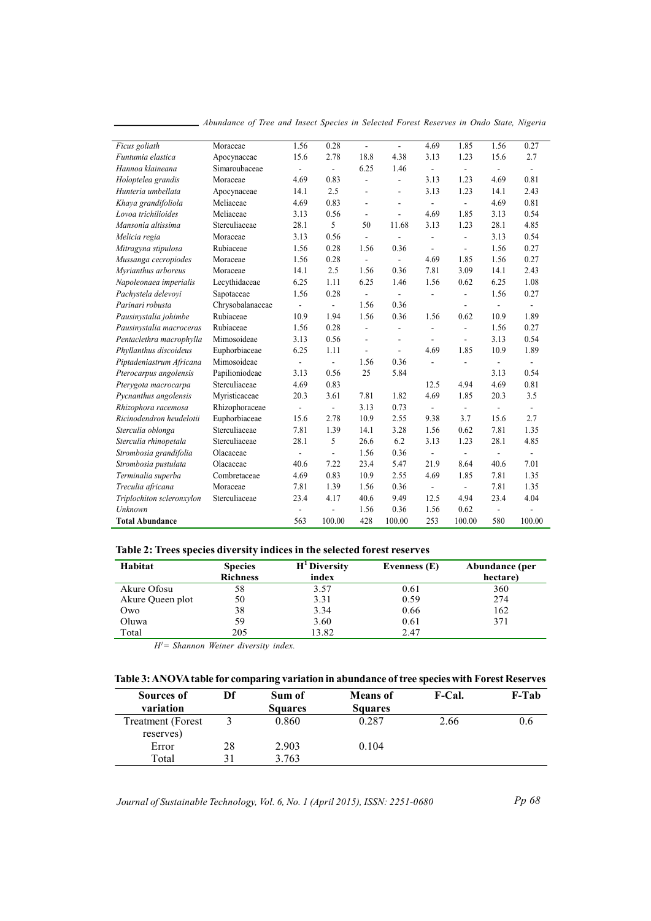| Ficus goliath             | Moraceae         | 1.56                     | 0.28           | $\overline{a}$           | ÷.                       | 4.69                     | 1.85           | 1.56                     | 0.27                     |
|---------------------------|------------------|--------------------------|----------------|--------------------------|--------------------------|--------------------------|----------------|--------------------------|--------------------------|
| Funtumia elastica         | Apocynaceae      | 15.6                     | 2.78           | 18.8                     | 4.38                     | 3.13                     | 1.23           | 15.6                     | 2.7                      |
| Hannoa klaineana          | Simaroubaceae    | $\overline{\phantom{a}}$ | $\frac{1}{2}$  | 6.25                     | 1.46                     | $\overline{\phantom{a}}$ | $\overline{a}$ | $\overline{\phantom{a}}$ | $\overline{\phantom{a}}$ |
| Holoptelea grandis        | Moraceae         | 4.69                     | 0.83           | $\overline{\phantom{a}}$ | $\overline{a}$           | 3.13                     | 1.23           | 4.69                     | 0.81                     |
| Hunteria umbellata        | Apocynaceae      | 14.1                     | 2.5            | ÷,                       | $\overline{a}$           | 3.13                     | 1.23           | 14.1                     | 2.43                     |
| Khaya grandifoliola       | Meliaceae        | 4.69                     | 0.83           | $\overline{\phantom{a}}$ | $\overline{\phantom{a}}$ | $\overline{a}$           | $\overline{a}$ | 4.69                     | 0.81                     |
| Lovoa trichilioides       | Meliaceae        | 3.13                     | 0.56           | $\overline{\phantom{a}}$ | ä,                       | 4.69                     | 1.85           | 3.13                     | 0.54                     |
| Mansonia altissima        | Sterculiaceae    | 28.1                     | 5              | 50                       | 11.68                    | 3.13                     | 1.23           | 28.1                     | 4.85                     |
| Melicia regia             | Moraceae         | 3.13                     | 0.56           | ä,                       | ÷,                       | $\overline{a}$           | $\overline{a}$ | 3.13                     | 0.54                     |
| Mitragyna stipulosa       | Rubiaceae        | 1.56                     | 0.28           | 1.56                     | 0.36                     | $\overline{a}$           | $\overline{a}$ | 1.56                     | 0.27                     |
| Mussanga cecropiodes      | Moraceae         | 1.56                     | 0.28           | $\overline{a}$           | $\mathbf{r}$             | 4.69                     | 1.85           | 1.56                     | 0.27                     |
| Myrianthus arboreus       | Moraceae         | 14.1                     | 2.5            | 1.56                     | 0.36                     | 7.81                     | 3.09           | 14.1                     | 2.43                     |
| Napoleonaea imperialis    | Lecythidaceae    | 6.25                     | 1.11           | 6.25                     | 1.46                     | 1.56                     | 0.62           | 6.25                     | 1.08                     |
| Pachystela delevovi       | Sapotaceae       | 1.56                     | 0.28           | $\overline{\phantom{a}}$ | $\blacksquare$           |                          | $\overline{a}$ | 1.56                     | 0.27                     |
| Parinari robusta          | Chrysobalanaceae | $\overline{\phantom{a}}$ | $\overline{a}$ | 1.56                     | 0.36                     |                          | $\overline{a}$ | $\blacksquare$           | $\blacksquare$           |
| Pausinystalia johimbe     | Rubiaceae        | 10.9                     | 1.94           | 1.56                     | 0.36                     | 1.56                     | 0.62           | 10.9                     | 1.89                     |
| Pausinystalia macroceras  | Rubiaceae        | 1.56                     | 0.28           | $\overline{a}$           | $\overline{a}$           | ÷.                       | ä,             | 1.56                     | 0.27                     |
| Pentaclethra macrophylla  | Mimosoideae      | 3.13                     | 0.56           | ÷,                       | ٠                        | $\overline{\phantom{a}}$ | L,             | 3.13                     | 0.54                     |
| Phyllanthus discoideus    | Euphorbiaceae    | 6.25                     | 1.11           | $\overline{a}$           | ÷.                       | 4.69                     | 1.85           | 10.9                     | 1.89                     |
| Piptadeniastrum Africana  | Mimosoideae      | $\blacksquare$           | ÷,             | 1.56                     | 0.36                     | ä,                       | $\overline{a}$ |                          |                          |
| Pterocarpus angolensis    | Papilioniodeae   | 3.13                     | 0.56           | 25                       | 5.84                     |                          |                | 3.13                     | 0.54                     |
| Pterygota macrocarpa      | Sterculiaceae    | 4.69                     | 0.83           |                          |                          | 12.5                     | 4.94           | 4.69                     | 0.81                     |
| Pycnanthus angolensis     | Myristicaceae    | 20.3                     | 3.61           | 7.81                     | 1.82                     | 4.69                     | 1.85           | 20.3                     | 3.5                      |
| Rhizophora racemosa       | Rhizophoraceae   | $\overline{\phantom{a}}$ | ÷,             | 3.13                     | 0.73                     | ÷,                       | $\overline{a}$ | $\overline{\phantom{a}}$ | ä,                       |
| Ricinodendron heudelotii  | Euphorbiaceae    | 15.6                     | 2.78           | 10.9                     | 2.55                     | 9.38                     | 3.7            | 15.6                     | 2.7                      |
| Sterculia oblonga         | Sterculiaceae    | 7.81                     | 1.39           | 14.1                     | 3.28                     | 1.56                     | 0.62           | 7.81                     | 1.35                     |
| Sterculia rhinopetala     | Sterculiaceae    | 28.1                     | 5              | 26.6                     | 6.2                      | 3.13                     | 1.23           | 28.1                     | 4.85                     |
| Strombosia grandifolia    | Olacaceae        | $\blacksquare$           | $\overline{a}$ | 1.56                     | 0.36                     | -                        | $\overline{a}$ | $\overline{\phantom{a}}$ | $\blacksquare$           |
| Strombosia pustulata      | Olacaceae        | 40.6                     | 7.22           | 23.4                     | 5.47                     | 21.9                     | 8.64           | 40.6                     | 7.01                     |
| Terminalia superba        | Combretaceae     | 4.69                     | 0.83           | 10.9                     | 2.55                     | 4.69                     | 1.85           | 7.81                     | 1.35                     |
| Treculia africana         | Moraceae         | 7.81                     | 1.39           | 1.56                     | 0.36                     | ä,                       | $\overline{a}$ | 7.81                     | 1.35                     |
| Triplochiton scleronxylon | Sterculiaceae    | 23.4                     | 4.17           | 40.6                     | 9.49                     | 12.5                     | 4.94           | 23.4                     | 4.04                     |
| Unknown                   |                  |                          | ä,             | 1.56                     | 0.36                     | 1.56                     | 0.62           | $\sim$                   |                          |
| <b>Total Abundance</b>    |                  | 563                      | 100.00         | 428                      | 100.00                   | 253                      | 100.00         | 580                      | 100.00                   |

\_ Abundance of Tree and Insect Species in Selected Forest Reserves in Ondo State, Nigeria

# Table 2: Trees species diversity indices in the selected forest reserves

| Habitat          | <b>Species</b>  | $H1$ Diversity | Evenness (E) | Abundance (per |
|------------------|-----------------|----------------|--------------|----------------|
|                  | <b>Richness</b> | index          |              | hectare)       |
| Akure Ofosu      | 58              | 3.57           | 0.61         | 360            |
| Akure Queen plot | 50              | 3.31           | 0.59         | 274            |
| Owo              | 38              | 3.34           | 0.66         | 162            |
| Oluwa            | 59              | 3.60           | 0.61         | 371            |
| Total            | 205             | 13.82          | 2.47         |                |

 $H^{\prime}$  = Shannon Weiner diversity index.

# Table 3: ANOVA table for comparing variation in abundance of tree species with Forest Reserves

| Sources of               | Df | Sum of         | <b>Means</b> of | <b>F-Cal.</b> | F-Tab |
|--------------------------|----|----------------|-----------------|---------------|-------|
| variation                |    | <b>Squares</b> | <b>Squares</b>  |               |       |
| <b>Treatment</b> (Forest |    | 0.860          | 0.287           | 2.66          | 0.6   |
| reserves)                |    |                |                 |               |       |
| Error                    | 28 | 2.903          | 0.104           |               |       |
| Total                    |    | 3.763          |                 |               |       |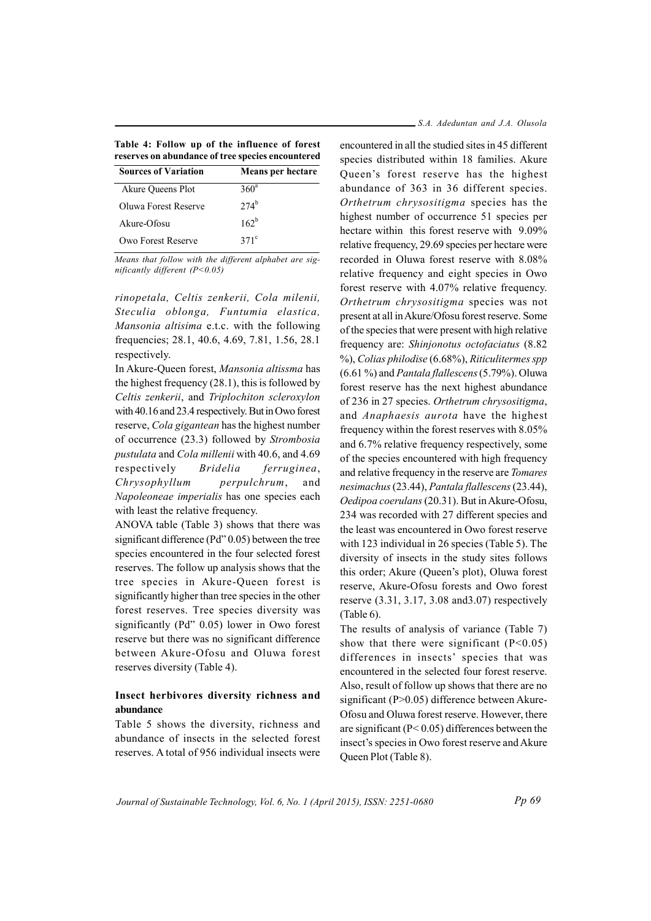| Table 4: Follow up of the influence of forest     |  |  |
|---------------------------------------------------|--|--|
| reserves on abundance of tree species encountered |  |  |

| <b>Sources of Variation</b> | <b>Means per hectare</b> |
|-----------------------------|--------------------------|
| Akure Queens Plot           | 360 <sup>a</sup>         |
| Oluwa Forest Reserve        | $274^{b}$                |
| Akure-Ofosu                 | $162^b$                  |
| Owo Forest Reserve          | $371^{\circ}$            |
|                             |                          |

Means that follow with the different alphabet are significantly different  $(P<0.05)$ 

rinopetala, Celtis zenkerii, Cola milenii, Steculia oblonga, Funtumia elastica, Mansonia altisima e.t.c. with the following frequencies; 28.1, 40.6, 4.69, 7.81, 1.56, 28.1 respectively.

In Akure-Queen forest, Mansonia altissma has the highest frequency  $(28.1)$ , this is followed by Celtis zenkerii, and Triplochiton scleroxylon with 40.16 and 23.4 respectively. But in Owo forest reserve, Cola gigantean has the highest number of occurrence (23.3) followed by Strombosia pustulata and Cola millenii with 40.6, and 4.69 **Bridelia** respectively ferruginea, Chrysophyllum perpulchrum, and Napoleoneae imperialis has one species each with least the relative frequency.

ANOVA table (Table 3) shows that there was significant difference ( $Pd''0.05$ ) between the tree species encountered in the four selected forest reserves. The follow up analysis shows that the tree species in Akure-Oueen forest is significantly higher than tree species in the other forest reserves. Tree species diversity was significantly (Pd" 0.05) lower in Owo forest reserve but there was no significant difference between Akure-Ofosu and Oluwa forest reserves diversity (Table 4).

### Insect herbivores diversity richness and abundance

Table 5 shows the diversity, richness and abundance of insects in the selected forest reserves. A total of 956 individual insects were

#### S.A. Adeduntan and J.A. Olusola

encountered in all the studied sites in 45 different species distributed within 18 families. Akure Queen's forest reserve has the highest abundance of 363 in 36 different species. Orthetrum chrysositigma species has the highest number of occurrence 51 species per hectare within this forest reserve with 9.09% relative frequency, 29.69 species per hectare were recorded in Oluwa forest reserve with 8.08% relative frequency and eight species in Owo forest reserve with 4.07% relative frequency. Orthetrum chrysositigma species was not present at all in Akure/Ofosu forest reserve. Some of the species that were present with high relative frequency are: Shinjonotus octofaciatus (8.82) %), Colias philodise (6.68%), Riticulitermes spp  $(6.61\%)$  and *Pantala flallescens*  $(5.79\%)$ . Oluwa forest reserve has the next highest abundance of 236 in 27 species. Orthetrum chrysositigma, and Anaphaesis aurota have the highest frequency within the forest reserves with 8.05% and 6.7% relative frequency respectively, some of the species encountered with high frequency and relative frequency in the reserve are Tomares nesimachus (23.44), Pantala flallescens (23.44), Oedipoa coerulans (20.31). But in Akure-Ofosu, 234 was recorded with 27 different species and the least was encountered in Owo forest reserve with 123 individual in 26 species (Table 5). The diversity of insects in the study sites follows this order; Akure (Queen's plot), Oluwa forest reserve, Akure-Ofosu forests and Owo forest reserve  $(3.31, 3.17, 3.08 \text{ and } 3.07)$  respectively  $(Table 6)$ .

The results of analysis of variance (Table 7) show that there were significant  $(P<0.05)$ differences in insects' species that was encountered in the selected four forest reserve. Also, result of follow up shows that there are no significant ( $P > 0.05$ ) difference between Akure-Ofosu and Oluwa forest reserve. However, there are significant ( $P < 0.05$ ) differences between the insect's species in Owo forest reserve and Akure Queen Plot (Table 8).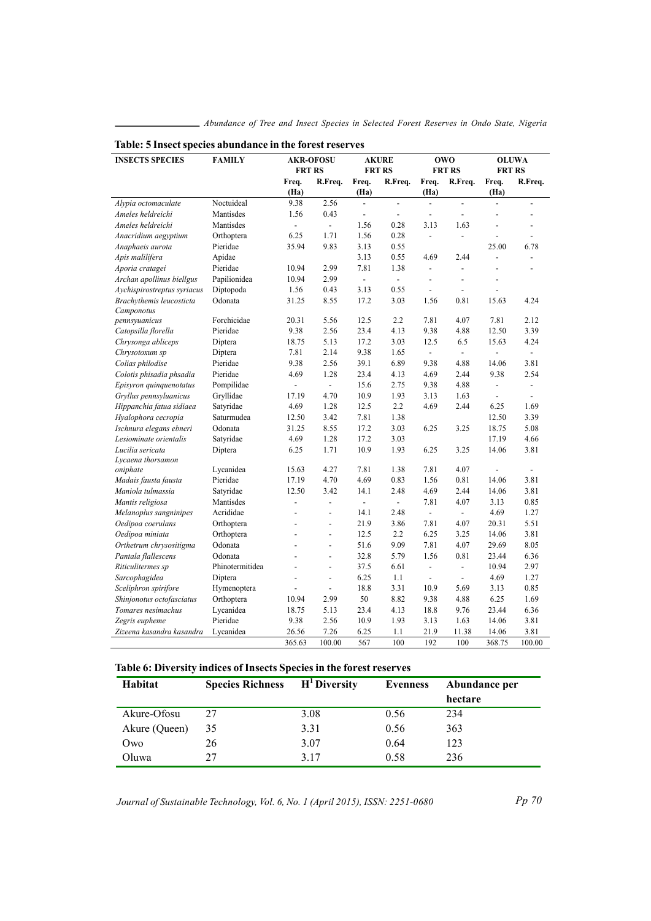| <b>INSECTS SPECIES</b>      | <b>FAMILY</b>   | <b>AKR-OFOSU</b>         |                          | <b>AKURE</b>             |                           | <b>OWO</b>                   |                          | <b>OLUWA</b>                 |                          |
|-----------------------------|-----------------|--------------------------|--------------------------|--------------------------|---------------------------|------------------------------|--------------------------|------------------------------|--------------------------|
|                             |                 | <b>FRT RS</b>            |                          | <b>FRT RS</b>            |                           | <b>FRT RS</b>                |                          | <b>FRT RS</b>                |                          |
|                             |                 | Freq.<br>(Ha)            | R.Freq.                  | Freq.<br>(Ha)            | R.Freq.                   | Freq.<br>(Ha)                | R.Freq.                  | Freq.<br>(Ha)                | R.Freq.                  |
| Alypia octomaculate         | Noctuideal      | 9.38                     | 2.56                     | $\overline{a}$           | $\overline{a}$            | $\overline{a}$               | $\overline{a}$           | $\overline{a}$               | $\overline{a}$           |
| Ameles heldreichi           | Mantisdes       | 1.56                     | 0.43                     | $\overline{\phantom{a}}$ | $\blacksquare$            | $\qquad \qquad \blacksquare$ | $\frac{1}{2}$            |                              | $\overline{a}$           |
| Ameles heldreichi           | Mantisdes       | $\overline{a}$           | $\omega$                 | 1.56                     | 0.28                      | 3.13                         | 1.63                     | L.                           | $\overline{a}$           |
| Anacridium aegyptium        | Orthoptera      | 6.25                     | 1.71                     | 1.56                     | 0.28                      | $\frac{1}{2}$                | $\overline{a}$           | Ĭ.                           | $\overline{a}$           |
| Anaphaeis aurota            | Pieridae        | 35.94                    | 9.83                     | 3.13                     | 0.55                      |                              |                          | 25.00                        | 6.78                     |
| Apis malilifera             | Apidae          |                          |                          | 3.13                     | 0.55                      | 4.69                         | 2.44                     | $\overline{a}$               | $\overline{a}$           |
| Aporia cratagei             | Pieridae        | 10.94                    | 2.99                     | 7.81                     | 1.38                      | $\frac{1}{2}$                | ÷,                       | $\overline{a}$               | $\overline{a}$           |
| Archan apollinus biellgus   | Papilionidea    | 10.94                    | 2.99                     | ÷.                       | $\mathcal{L}^{\pm}$       | $\overline{a}$               |                          | L,                           |                          |
| Aychispirostreptus syriacus | Diptopoda       | 1.56                     | 0.43                     | 3.13                     | 0.55                      | $\overline{a}$               | ÷,                       | Ĭ.                           |                          |
| Brachythemis leucosticta    | Odonata         | 31.25                    | 8.55                     | 17.2                     | 3.03                      | 1.56                         | 0.81                     | 15.63                        | 4.24                     |
| Camponotus                  |                 |                          |                          |                          |                           |                              |                          |                              |                          |
| pennsyuanicus               | Forchicidae     | 20.31                    | 5.56                     | 12.5                     | 2.2                       | 7.81                         | 4.07                     | 7.81                         | 2.12                     |
| Catopsilla florella         | Pieridae        | 9.38                     | 2.56                     | 23.4                     | 4.13                      | 9.38                         | 4.88                     | 12.50                        | 3.39                     |
| Chrysonga abliceps          | Diptera         | 18.75                    | 5.13                     | 17.2                     | 3.03                      | 12.5                         | 6.5                      | 15.63                        | 4.24                     |
| Chrysotoxum sp              | Diptera         | 7.81                     | 2.14                     | 9.38                     | 1.65                      | $\frac{1}{2}$                | $\blacksquare$           | $\overline{a}$               | $\overline{\phantom{a}}$ |
| Colias philodise            | Pieridae        | 9.38                     | 2.56                     | 39.1                     | 6.89                      | 9.38                         | 4.88                     | 14.06                        | 3.81                     |
| Colotis phisadia phsadia    | Pieridae        | 4.69                     | 1.28                     | 23.4                     | 4.13                      | 4.69                         | 2.44                     | 9.38                         | 2.54                     |
| Episyron quinquenotatus     | Pompilidae      | $\overline{\phantom{a}}$ | $\blacksquare$           | 15.6                     | 2.75                      | 9.38                         | 4.88                     | $\qquad \qquad \blacksquare$ | $\overline{a}$           |
| Gryllus pennsyluanicus      | Gryllidae       | 17.19                    | 4.70                     | 10.9                     | 1.93                      | 3.13                         | 1.63                     | $\overline{a}$               | $\overline{a}$           |
| Hippanchia fatua sidiaea    | Satyridae       | 4.69                     | 1.28                     | 12.5                     | 2.2                       | 4.69                         | 2.44                     | 6.25                         | 1.69                     |
| Hyalophora cecropia         | Saturmudea      | 12.50                    | 3.42                     | 7.81                     | 1.38                      |                              |                          | 12.50                        | 3.39                     |
| Ischnura elegans ebneri     | Odonata         | 31.25                    | 8.55                     | 17.2                     | 3.03                      | 6.25                         | 3.25                     | 18.75                        | 5.08                     |
| Lesiominate orientalis      | Satyridae       | 4.69                     | 1.28                     | 17.2                     | 3.03                      |                              |                          | 17.19                        | 4.66                     |
| Lucilia sericata            | Diptera         | 6.25                     | 1.71                     | 10.9                     | 1.93                      | 6.25                         | 3.25                     | 14.06                        | 3.81                     |
| Lycaena thorsamon           |                 |                          |                          |                          |                           |                              |                          |                              |                          |
| oniphate                    | Lycanidea       | 15.63                    | 4.27                     | 7.81                     | 1.38                      | 7.81                         | 4.07                     | $\overline{a}$               | $\blacksquare$           |
| Madais fausta fausta        | Pieridae        | 17.19                    | 4.70                     | 4.69                     | 0.83                      | 1.56                         | 0.81                     | 14.06                        | 3.81                     |
| Maniola tulmassia           | Satyridae       | 12.50                    | 3.42                     | 14.1                     | 2.48                      | 4.69                         | 2.44                     | 14.06                        | 3.81                     |
| Mantis religiosa            | Mantisdes       | $\overline{a}$           | $\overline{a}$           | L.                       | $\mathbb{Z}^{\mathbb{Z}}$ | 7.81                         | 4.07                     | 3.13                         | 0.85                     |
| Melanoplus sangninipes      | Acrididae       | ÷,                       | $\overline{\phantom{a}}$ | 14.1                     | 2.48                      | $\overline{\phantom{a}}$     | $\overline{\phantom{a}}$ | 4.69                         | 1.27                     |
| Oedipoa coerulans           | Orthoptera      | $\overline{a}$           | $\overline{a}$           | 21.9                     | 3.86                      | 7.81                         | 4.07                     | 20.31                        | 5.51                     |
| Oedipoa miniata             | Orthoptera      | $\overline{a}$           | $\overline{a}$           | 12.5                     | 2.2                       | 6.25                         | 3.25                     | 14.06                        | 3.81                     |
| Orthetrum chrysositigma     | Odonata         | $\overline{a}$           | $\overline{a}$           | 51.6                     | 9.09                      | 7.81                         | 4.07                     | 29.69                        | 8.05                     |
| Pantala flallescens         | Odonata         | $\overline{a}$           | $\overline{\phantom{a}}$ | 32.8                     | 5.79                      | 1.56                         | 0.81                     | 23.44                        | 6.36                     |
| Riticulitermes sp           | Phinotermitidea | $\overline{a}$           | $\overline{a}$           | 37.5                     | 6.61                      | $\frac{1}{2}$                | $\overline{a}$           | 10.94                        | 2.97                     |
| Sarcophagidea               | Diptera         | ÷,                       | $\overline{\phantom{a}}$ | 6.25                     | 1.1                       | $\frac{1}{2}$                | $\overline{\phantom{a}}$ | 4.69                         | 1.27                     |
| Sceliphron spirifore        | Hymenoptera     |                          | $\overline{\phantom{a}}$ | 18.8                     | 3.31                      | 10.9                         | 5.69                     | 3.13                         | 0.85                     |
| Shinjonotus octofasciatus   | Orthoptera      | 10.94                    | 2.99                     | 50                       | 8.82                      | 9.38                         | 4.88                     | 6.25                         | 1.69                     |
| Tomares nesimachus          | Lycanidea       | 18.75                    | 5.13                     | 23.4                     | 4.13                      | 18.8                         | 9.76                     | 23.44                        | 6.36                     |
| Zegris eupheme              | Pieridae        | 9.38                     | 2.56                     | 10.9                     | 1.93                      | 3.13                         | 1.63                     | 14.06                        | 3.81                     |
| Zizeena kasandra kasandra   | Lycanidea       | 26.56                    | 7.26                     | 6.25                     | 1.1                       | 21.9                         | 11.38                    | 14.06                        | 3.81                     |
|                             |                 | 365.63                   | 100.00                   | 567                      | 100                       | 192                          | 100                      | 368.75                       | 100.00                   |

# Table: 5 Insect species abundance in the forest reserves

# Table 6: Diversity indices of Insects Species in the forest reserves

| Habitat       | <b>Species Richness</b> | $H1$ Diversity | Evenness | Abundance per |
|---------------|-------------------------|----------------|----------|---------------|
|               |                         |                |          | hectare       |
| Akure-Ofosu   | 27                      | 3.08           | 0.56     | 234           |
| Akure (Queen) | 35                      | 3.31           | 0.56     | 363           |
| Owo           | 26                      | 3.07           | 0.64     | 123           |
| Oluwa         | 27                      | 3 1 7          | 0.58     | 236           |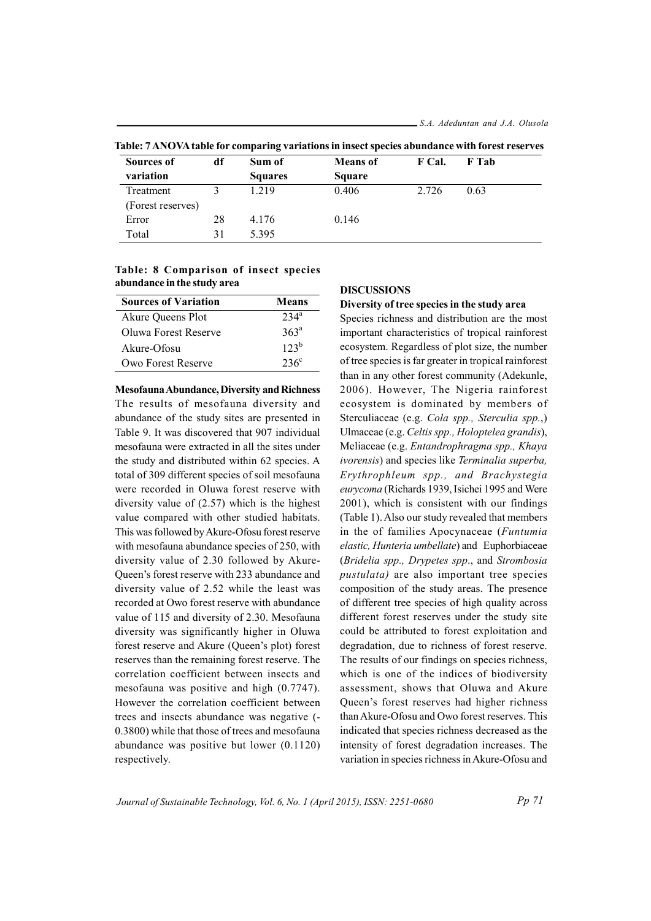| Sources of        | df | Sum of         | <b>Means</b> of | F Cal. | F Tab |
|-------------------|----|----------------|-----------------|--------|-------|
| variation         |    | <b>Squares</b> | <b>Square</b>   |        |       |
| Treatment         |    | 1.219          | 0.406           | 2.726  | 0.63  |
| (Forest reserves) |    |                |                 |        |       |
| Error             | 28 | 4.176          | 0.146           |        |       |
| Total             | 31 | 5.395          |                 |        |       |

Table: 7 ANOVA table for comparing variations in insect species abundance with forest reserves

Table: 8 Comparison of insect species abundance in the study area

| $234^a$          |
|------------------|
| 363 <sup>a</sup> |
| $123^b$          |
| $236^{\circ}$    |
|                  |

**Mesofauna Abundance, Diversity and Richness** The results of mesofauna diversity and abundance of the study sites are presented in Table 9. It was discovered that 907 individual mesofauna were extracted in all the sites under the study and distributed within 62 species. A total of 309 different species of soil mesofauna were recorded in Oluwa forest reserve with diversity value of  $(2.57)$  which is the highest value compared with other studied habitats. This was followed by Akure-Ofosu forest reserve with mesofauna abundance species of 250, with diversity value of 2.30 followed by Akure-Queen's forest reserve with 233 abundance and diversity value of 2.52 while the least was recorded at Owo forest reserve with abundance value of 115 and diversity of 2.30. Mesofauna diversity was significantly higher in Oluwa forest reserve and Akure (Queen's plot) forest reserves than the remaining forest reserve. The correlation coefficient between insects and mesofauna was positive and high  $(0.7747)$ . However the correlation coefficient between trees and insects abundance was negative (-0.3800) while that those of trees and mesofauna abundance was positive but lower  $(0.1120)$ respectively.

#### **DISCUSSIONS**

Diversity of tree species in the study area Species richness and distribution are the most important characteristics of tropical rainforest ecosystem. Regardless of plot size, the number of tree species is far greater in tropical rainforest than in any other forest community (Adekunle, 2006). However, The Nigeria rainforest ecosystem is dominated by members of Sterculiaceae (e.g. Cola spp., Sterculia spp.,) Ulmaceae (e.g. Celtis spp., Holoptelea grandis), Meliaceae (e.g. Entandrophragma spp., Khaya ivorensis) and species like Terminalia superba, Erythrophleum spp., and Brachystegia eurycoma (Richards 1939, Isichei 1995 and Were 2001), which is consistent with our findings (Table 1). Also our study revealed that members in the of families Apocynaceae (Funtumia elastic, Hunteria umbellate) and Euphorbiaceae (Bridelia spp., Drypetes spp., and Strombosia *pustulata*) are also important tree species composition of the study areas. The presence of different tree species of high quality across different forest reserves under the study site could be attributed to forest exploitation and degradation, due to richness of forest reserve. The results of our findings on species richness, which is one of the indices of biodiversity assessment, shows that Oluwa and Akure Queen's forest reserves had higher richness than Akure-Ofosu and Owo forest reserves. This indicated that species richness decreased as the intensity of forest degradation increases. The variation in species richness in Akure-Ofosu and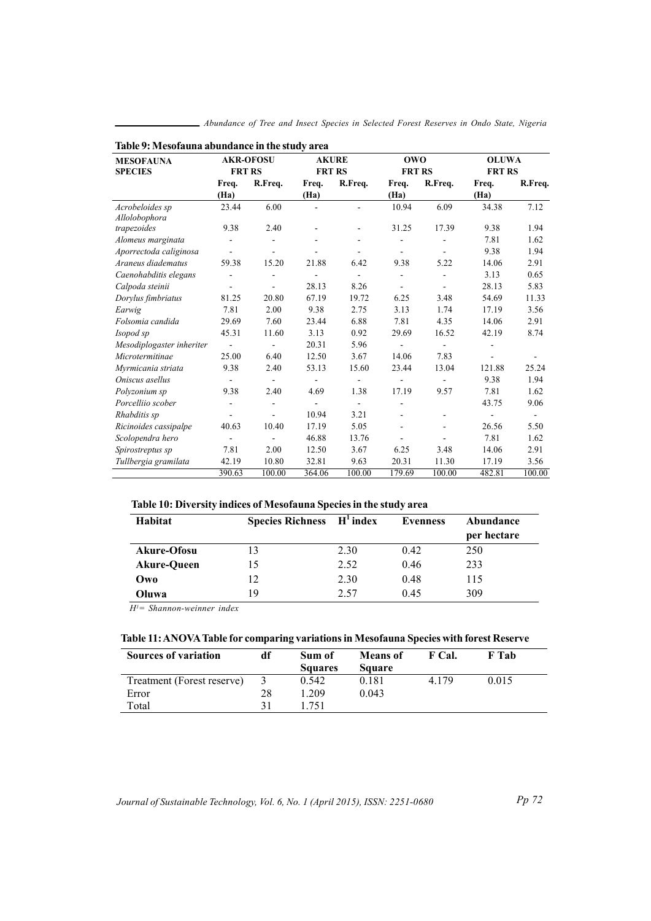| Table 9: Mesofauna abundance in the study area |                          |                  |                          |                              |                |                          |               |                |
|------------------------------------------------|--------------------------|------------------|--------------------------|------------------------------|----------------|--------------------------|---------------|----------------|
| <b>MESOFAUNA</b>                               |                          | <b>AKR-OFOSU</b> | <b>AKURE</b>             |                              | <b>OWO</b>     |                          | <b>OLUWA</b>  |                |
| <b>SPECIES</b>                                 | <b>FRT RS</b>            |                  | <b>FRT RS</b>            |                              | <b>FRT RS</b>  |                          | <b>FRT RS</b> |                |
|                                                | Freq.                    | R.Freq.          | Freq.                    | R.Freq.                      | Freq.          | R.Freq.                  | Freq.         | R.Freq.        |
|                                                | (Ha)                     |                  | (Ha)                     |                              | (Ha)           |                          | (Ha)          |                |
| Acrobeloides sp                                | 23.44                    | 6.00             | $\blacksquare$           | ÷.                           | 10.94          | 6.09                     | 34.38         | 7.12           |
| Allolobophora                                  |                          |                  |                          |                              |                |                          |               |                |
| trapezoides                                    | 9.38                     | 2.40             | $\overline{\phantom{a}}$ | $\qquad \qquad \blacksquare$ | 31.25          | 17.39                    | 9.38          | 1.94           |
| Alomeus marginata                              | $\overline{\phantom{a}}$ | $\overline{a}$   |                          |                              |                |                          | 7.81          | 1.62           |
| Aporrectoda caliginosa                         | $\sim$                   |                  |                          |                              |                |                          | 9.38          | 1.94           |
| Araneus diadematus                             | 59.38                    | 15.20            | 21.88                    | 6.42                         | 9.38           | 5.22                     | 14.06         | 2.91           |
| Caenohabditis elegans                          |                          |                  |                          |                              | ۰              | ÷,                       | 3.13          | 0.65           |
| Calpoda steinii                                | $\overline{\phantom{a}}$ |                  | 28.13                    | 8.26                         |                |                          | 28.13         | 5.83           |
| Dorylus fimbriatus                             | 81.25                    | 20.80            | 67.19                    | 19.72                        | 6.25           | 3.48                     | 54.69         | 11.33          |
| Earwig                                         | 7.81                     | 2.00             | 9.38                     | 2.75                         | 3.13           | 1.74                     | 17.19         | 3.56           |
| Folsomia candida                               | 29.69                    | 7.60             | 23.44                    | 6.88                         | 7.81           | 4.35                     | 14.06         | 2.91           |
| Isopod sp                                      | 45.31                    | 11.60            | 3.13                     | 0.92                         | 29.69          | 16.52                    | 42.19         | 8.74           |
| Mesodiplogaster inheriter                      | $\sim$                   | ÷                | 20.31                    | 5.96                         | $\blacksquare$ | $\blacksquare$           |               |                |
| Microtermitinae                                | 25.00                    | 6.40             | 12.50                    | 3.67                         | 14.06          | 7.83                     | ۰             | $\overline{a}$ |
| Myrmicania striata                             | 9.38                     | 2.40             | 53.13                    | 15.60                        | 23.44          | 13.04                    | 121.88        | 25.24          |
| Oniscus asellus                                | $\blacksquare$           | ۰                | $\overline{\phantom{a}}$ | $\blacksquare$               |                | $\overline{a}$           | 9.38          | 1.94           |
| Polyzonium sp                                  | 9.38                     | 2.40             | 4.69                     | 1.38                         | 17.19          | 9.57                     | 7.81          | 1.62           |
| Porcelliio scober                              | ÷.                       | ä,               |                          |                              |                |                          | 43.75         | 9.06           |
| Rhabditis sp                                   |                          | ä,               | 10.94                    | 3.21                         |                | $\overline{\phantom{a}}$ |               |                |
| Ricinoides cassipalpe                          | 40.63                    | 10.40            | 17.19                    | 5.05                         |                | $\blacksquare$           | 26.56         | 5.50           |
| Scolopendra hero                               |                          | ä,               | 46.88                    | 13.76                        |                |                          | 7.81          | 1.62           |
| Spirostreptus sp                               | 7.81                     | 2.00             | 12.50                    | 3.67                         | 6.25           | 3.48                     | 14.06         | 2.91           |
| Tullbergia gramilata                           | 42.19                    | 10.80            | 32.81                    | 9.63                         | 20.31          | 11.30                    | 17.19         | 3.56           |
|                                                | 390.63                   | 100.00           | 364.06                   | 100.00                       | 179.69         | 100.00                   | 482.81        | 100.00         |

Abundance of Tree and Insect Species in Selected Forest Reserves in Ondo State, Nigeria

# Table 10: Diversity indices of Mesofauna Species in the study area

| Habitat            | <b>Species Richness</b> | $H^1$ index | <b>Evenness</b> | Abundance<br>per hectare |
|--------------------|-------------------------|-------------|-----------------|--------------------------|
| Akure-Ofosu        |                         | 2.30        | 0.42            | 250                      |
| <b>Akure-Oueen</b> | 15                      | 2.52        | 0.46            | 233                      |
| Owo                | 12                      | 2.30        | 0.48            | 115                      |
| Oluwa              | 19                      | 2.57        | 0.45            | 309                      |

 $H'$  = Shannon-weinner index

# Table 11: ANOVA Table for comparing variations in Mesofauna Species with forest Reserve

| <b>Sources of variation</b> | df             | Sum of         | <b>Means</b> of | F Cal.  | F Tab |  |
|-----------------------------|----------------|----------------|-----------------|---------|-------|--|
|                             |                | <b>Squares</b> | <b>Square</b>   |         |       |  |
| Treatment (Forest reserve)  | $\mathfrak{z}$ | 0.542          | 0.181           | 4 1 7 9 | 0.015 |  |
| Error                       | 28             | 209            | 0.043           |         |       |  |
| Total                       |                | -751           |                 |         |       |  |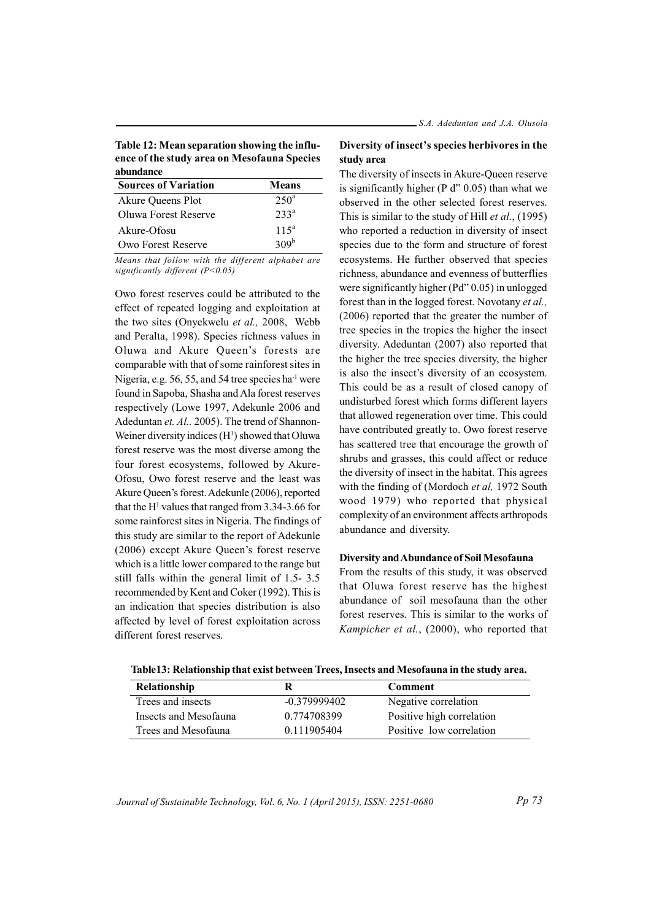Table 12: Mean separation showing the influence of the study area on Mesofauna Species abundance

| <b>Sources of Variation</b> | Means            |
|-----------------------------|------------------|
| Akure Queens Plot           | $250^{\circ}$    |
| Oluwa Forest Reserve        | 233 <sup>a</sup> |
| Akure-Ofosu                 | $115^a$          |
| Owo Forest Reserve          | 309 <sup>b</sup> |

Means that follow with the different alphabet are significantly different (P<0.05)

Owo forest reserves could be attributed to the effect of repeated logging and exploitation at the two sites (Onyekwelu et al., 2008, Webb and Peralta, 1998). Species richness values in Oluwa and Akure Queen's forests are comparable with that of some rainforest sites in Nigeria, e.g. 56, 55, and 54 tree species ha<sup>-1</sup> were found in Sapoba, Shasha and Ala forest reserves respectively (Lowe 1997, Adekunle 2006 and Adeduntan et. Al., 2005). The trend of Shannon-Weiner diversity indices (H<sup>1</sup>) showed that Oluwa forest reserve was the most diverse among the four forest ecosystems, followed by Akure-Ofosu, Owo forest reserve and the least was Akure Queen's forest. Adekunle (2006), reported that the H<sup>1</sup> values that ranged from 3.34-3.66 for some rainforest sites in Nigeria. The findings of this study are similar to the report of Adekunle (2006) except Akure Queen's forest reserve which is a little lower compared to the range but still falls within the general limit of 1.5-3.5 recommended by Kent and Coker (1992). This is an indication that species distribution is also affected by level of forest exploitation across different forest reserves.

# Diversity of insect's species herbivores in the study area

The diversity of insects in Akure-Queen reserve is significantly higher ( $P d'' 0.05$ ) than what we observed in the other selected forest reserves. This is similar to the study of Hill *et al.*, (1995) who reported a reduction in diversity of insect species due to the form and structure of forest ecosystems. He further observed that species richness, abundance and evenness of butterflies were significantly higher ( $Pd''$  0.05) in unlogged forest than in the logged forest. Novotany et al., (2006) reported that the greater the number of tree species in the tropics the higher the insect diversity. Adeduntan (2007) also reported that the higher the tree species diversity, the higher is also the insect's diversity of an ecosystem. This could be as a result of closed canopy of undisturbed forest which forms different layers that allowed regeneration over time. This could have contributed greatly to. Owo forest reserve has scattered tree that encourage the growth of shrubs and grasses, this could affect or reduce the diversity of insect in the habitat. This agrees with the finding of (Mordoch et al, 1972 South wood 1979) who reported that physical complexity of an environment affects arthropods abundance and diversity.

#### Diversity and Abundance of Soil Mesofauna

From the results of this study, it was observed that Oluwa forest reserve has the highest abundance of soil mesofauna than the other forest reserves. This is similar to the works of Kampicher et al., (2000), who reported that

| Relationship          |                | <b>Comment</b>            |
|-----------------------|----------------|---------------------------|
| Trees and insects     | $-0.379999402$ | Negative correlation      |
| Insects and Mesofauna | 0.774708399    | Positive high correlation |
| Trees and Mesofauna   | 0.111905404    | Positive low correlation  |

Table13: Relationship that exist between Trees, Insects and Mesofauna in the study area.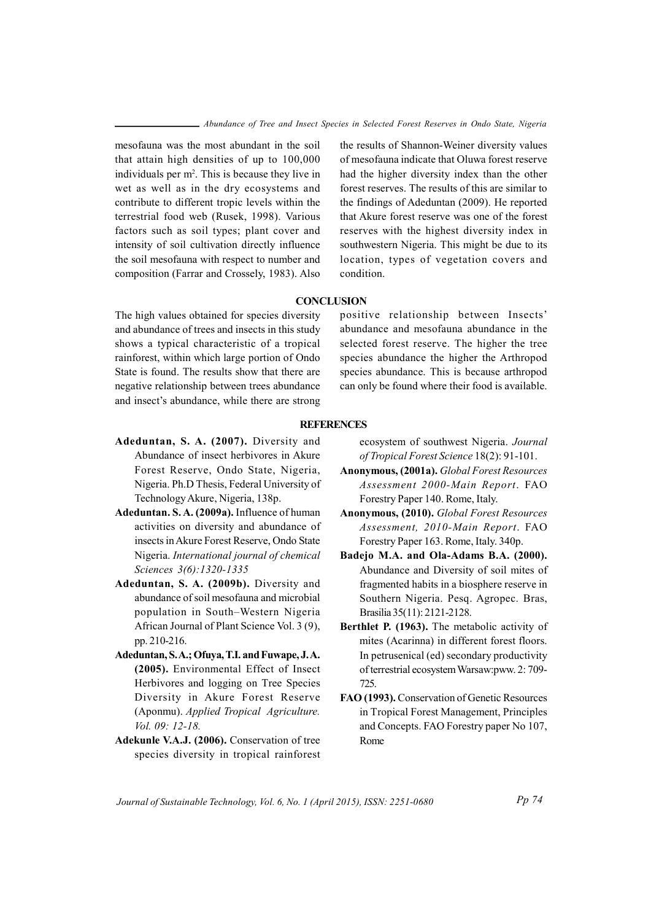mesofauna was the most abundant in the soil that attain high densities of up to 100,000 individuals per m<sup>2</sup>. This is because they live in wet as well as in the dry ecosystems and contribute to different tropic levels within the terrestrial food web (Rusek, 1998). Various factors such as soil types; plant cover and intensity of soil cultivation directly influence the soil mesofauna with respect to number and composition (Farrar and Crossely, 1983). Also the results of Shannon-Weiner diversity values of mesofauna indicate that Oluwa forest reserve had the higher diversity index than the other forest reserves. The results of this are similar to the findings of Adeduntan (2009). He reported that Akure forest reserve was one of the forest reserves with the highest diversity index in southwestern Nigeria. This might be due to its location, types of vegetation covers and condition.

#### **CONCLUSION**

The high values obtained for species diversity and abundance of trees and insects in this study shows a typical characteristic of a tropical rainforest, within which large portion of Ondo State is found. The results show that there are negative relationship between trees abundance and insect's abundance, while there are strong positive relationship between Insects' abundance and mesofauna abundance in the selected forest reserve. The higher the tree species abundance the higher the Arthropod species abundance. This is because arthropod can only be found where their food is available.

### **REFERENCES**

- Adeduntan, S. A. (2007). Diversity and Abundance of insect herbivores in Akure Forest Reserve, Ondo State, Nigeria, Nigeria. Ph.D Thesis, Federal University of Technology Akure, Nigeria, 138p.
- Adeduntan, S.A. (2009a). Influence of human activities on diversity and abundance of insects in Akure Forest Reserve, Ondo State Nigeria. International journal of chemical Sciences 3(6):1320-1335
- Adeduntan, S. A. (2009b). Diversity and abundance of soil mesofauna and microbial population in South-Western Nigeria African Journal of Plant Science Vol. 3 (9), pp. 210-216.
- Adeduntan, S.A.; Ofuya, T.I. and Fuwape, J.A. (2005). Environmental Effect of Insect Herbivores and logging on Tree Species Diversity in Akure Forest Reserve (Aponmu). Applied Tropical Agriculture. Vol. 09: 12-18.
- Adekunle V.A.J. (2006). Conservation of tree species diversity in tropical rainforest

ecosystem of southwest Nigeria. Journal of Tropical Forest Science 18(2): 91-101.

- Anonymous, (2001a). Global Forest Resources Assessment 2000-Main Report. FAO Forestry Paper 140. Rome, Italy.
- Anonymous, (2010). Global Forest Resources Assessment, 2010-Main Report. FAO Forestry Paper 163. Rome, Italy. 340p.
- Badejo M.A. and Ola-Adams B.A. (2000). Abundance and Diversity of soil mites of fragmented habits in a biosphere reserve in Southern Nigeria. Pesq. Agropec. Bras. Brasilia 35(11): 2121-2128.
- Berthlet P. (1963). The metabolic activity of mites (Acarinna) in different forest floors. In petrus enical (ed) secondary productivity of terrestrial ecosystem Warsaw: pww. 2: 709-725.
- FAO (1993). Conservation of Genetic Resources in Tropical Forest Management, Principles and Concepts. FAO Forestry paper No 107, Rome